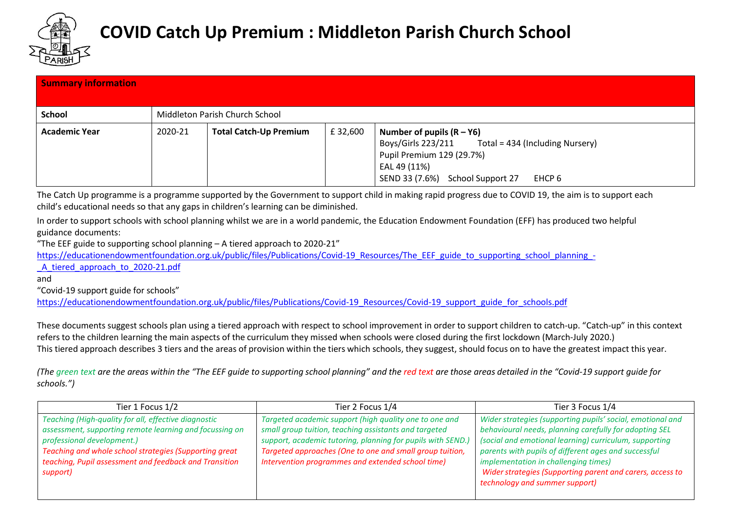

| <b>Summary information</b> |         |                                |         |                                                                                                                                                                                 |
|----------------------------|---------|--------------------------------|---------|---------------------------------------------------------------------------------------------------------------------------------------------------------------------------------|
| <b>School</b>              |         | Middleton Parish Church School |         |                                                                                                                                                                                 |
| <b>Academic Year</b>       | 2020-21 | <b>Total Catch-Up Premium</b>  | £32,600 | Number of pupils $(R - Y6)$<br>Boys/Girls 223/211 Total = 434 (Including Nursery)<br>Pupil Premium 129 (29.7%)<br>EAL 49 (11%)<br>SEND 33 (7.6%)<br>School Support 27<br>EHCP 6 |

The Catch Up programme is a programme supported by the Government to support child in making rapid progress due to COVID 19, the aim is to support each child's educational needs so that any gaps in children's learning can be diminished.

In order to support schools with school planning whilst we are in a world pandemic, the Education Endowment Foundation (EFF) has produced two helpful guidance documents:

"The EEF guide to supporting school planning – A tiered approach to 2020-21"

[https://educationendowmentfoundation.org.uk/public/files/Publications/Covid-19\\_Resources/The\\_EEF\\_guide\\_to\\_supporting\\_school\\_planning\\_-](https://educationendowmentfoundation.org.uk/public/files/Publications/Covid-19_Resources/The_EEF_guide_to_supporting_school_planning_-_A_tiered_approach_to_2020-21.pdf)

A tiered approach to 2020-21.pdf

and

"Covid-19 support guide for schools"

[https://educationendowmentfoundation.org.uk/public/files/Publications/Covid-19\\_Resources/Covid-19\\_support\\_guide\\_for\\_schools.pdf](https://educationendowmentfoundation.org.uk/public/files/Publications/Covid-19_Resources/Covid-19_support_guide_for_schools.pdf)

These documents suggest schools plan using a tiered approach with respect to school improvement in order to support children to catch-up. "Catch-up" in this context refers to the children learning the main aspects of the curriculum they missed when schools were closed during the first lockdown (March-July 2020.) This tiered approach describes 3 tiers and the areas of provision within the tiers which schools, they suggest, should focus on to have the greatest impact this year.

(The green text are the areas within the "The EEF guide to supporting school planning" and the red text are those areas detailed in the "Covid-19 support guide for *schools.")*

| Tier 1 Focus 1/2                                                                                                                                                                                                                                                              | Tier 2 Focus 1/4                                                                                                                                                                                                                                                                                | Tier 3 Focus 1/4                                                                                                                                                                                                                                                                                                                                                              |  |
|-------------------------------------------------------------------------------------------------------------------------------------------------------------------------------------------------------------------------------------------------------------------------------|-------------------------------------------------------------------------------------------------------------------------------------------------------------------------------------------------------------------------------------------------------------------------------------------------|-------------------------------------------------------------------------------------------------------------------------------------------------------------------------------------------------------------------------------------------------------------------------------------------------------------------------------------------------------------------------------|--|
| Teaching (High-quality for all, effective diagnostic<br>assessment, supporting remote learning and focussing on<br>professional development.)<br>Teaching and whole school strategies (Supporting great<br>teaching, Pupil assessment and feedback and Transition<br>support) | Targeted academic support (high quality one to one and<br>small group tuition, teaching assistants and targeted<br>support, academic tutoring, planning for pupils with SEND.)<br>Targeted approaches (One to one and small group tuition,<br>Intervention programmes and extended school time) | Wider strategies (supporting pupils' social, emotional and<br>behavioural needs, planning carefully for adopting SEL<br>(social and emotional learning) curriculum, supporting<br>parents with pupils of different ages and successful<br>implementation in challenging times)<br>Wider strategies (Supporting parent and carers, access to<br>technology and summer support) |  |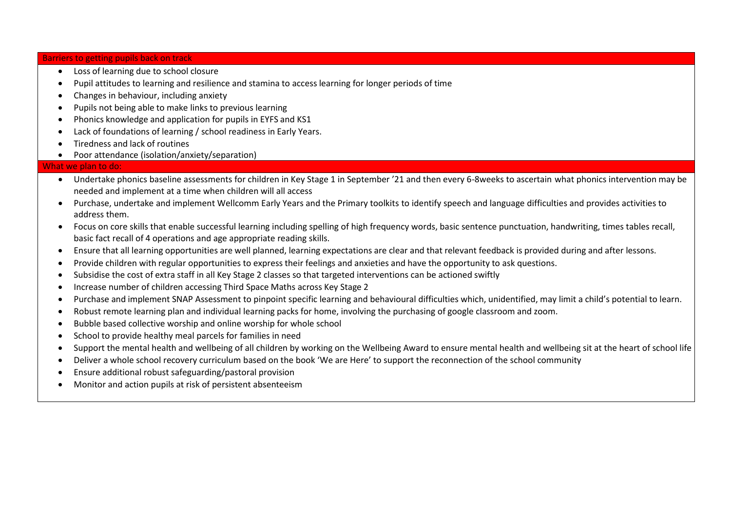Barriers to getting pupils back on track

- Loss of learning due to school closure
- Pupil attitudes to learning and resilience and stamina to access learning for longer periods of time
- Changes in behaviour, including anxiety
- Pupils not being able to make links to previous learning
- Phonics knowledge and application for pupils in EYFS and KS1
- Lack of foundations of learning / school readiness in Early Years.
- Tiredness and lack of routines
- Poor attendance (isolation/anxiety/separation)

## What we plan to do:

- Undertake phonics baseline assessments for children in Key Stage 1 in September '21 and then every 6-8weeks to ascertain what phonics intervention may be needed and implement at a time when children will all access
- Purchase, undertake and implement Wellcomm Early Years and the Primary toolkits to identify speech and language difficulties and provides activities to address them.
- Focus on core skills that enable successful learning including spelling of high frequency words, basic sentence punctuation, handwriting, times tables recall, basic fact recall of 4 operations and age appropriate reading skills.
- Ensure that all learning opportunities are well planned, learning expectations are clear and that relevant feedback is provided during and after lessons.
- Provide children with regular opportunities to express their feelings and anxieties and have the opportunity to ask questions.
- Subsidise the cost of extra staff in all Key Stage 2 classes so that targeted interventions can be actioned swiftly
- Increase number of children accessing Third Space Maths across Key Stage 2
- Purchase and implement SNAP Assessment to pinpoint specific learning and behavioural difficulties which, unidentified, may limit a child's potential to learn.
- Robust remote learning plan and individual learning packs for home, involving the purchasing of google classroom and zoom.
- Bubble based collective worship and online worship for whole school
- School to provide healthy meal parcels for families in need
- Support the mental health and wellbeing of all children by working on the Wellbeing Award to ensure mental health and wellbeing sit at the heart of school life
- Deliver a whole school recovery curriculum based on the book 'We are Here' to support the reconnection of the school community
- Ensure additional robust safeguarding/pastoral provision
- Monitor and action pupils at risk of persistent absenteeism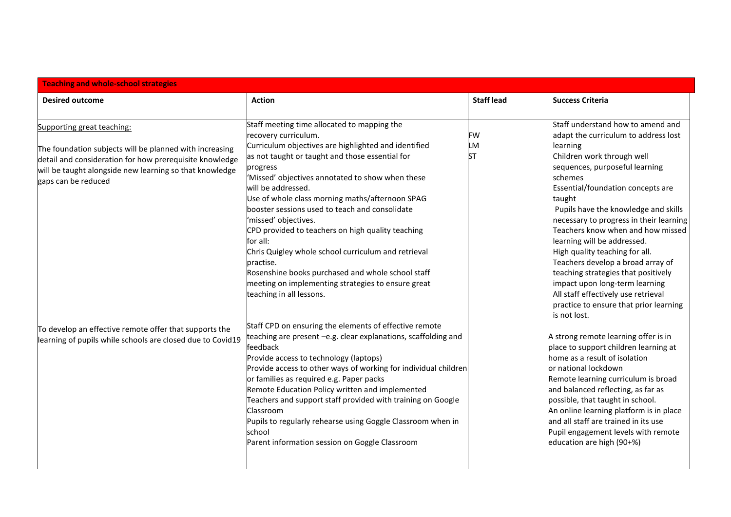| <b>Teaching and whole-school strategies</b>                                                                                                                                                                                        |                                                                                                                                                                                                                                                                                                                                                                                                                                                                                               |                   |                                                                                                                                                                                                                                                                                                                                                                                                                 |  |
|------------------------------------------------------------------------------------------------------------------------------------------------------------------------------------------------------------------------------------|-----------------------------------------------------------------------------------------------------------------------------------------------------------------------------------------------------------------------------------------------------------------------------------------------------------------------------------------------------------------------------------------------------------------------------------------------------------------------------------------------|-------------------|-----------------------------------------------------------------------------------------------------------------------------------------------------------------------------------------------------------------------------------------------------------------------------------------------------------------------------------------------------------------------------------------------------------------|--|
| <b>Desired outcome</b>                                                                                                                                                                                                             | <b>Action</b>                                                                                                                                                                                                                                                                                                                                                                                                                                                                                 | <b>Staff lead</b> | <b>Success Criteria</b>                                                                                                                                                                                                                                                                                                                                                                                         |  |
| Supporting great teaching:<br>The foundation subjects will be planned with increasing<br>detail and consideration for how prerequisite knowledge<br>will be taught alongside new learning so that knowledge<br>gaps can be reduced | Staff meeting time allocated to mapping the<br>recovery curriculum.<br>Curriculum objectives are highlighted and identified<br>as not taught or taught and those essential for<br>progress<br>'Missed' objectives annotated to show when these<br>will be addressed.<br>Use of whole class morning maths/afternoon SPAG<br>booster sessions used to teach and consolidate<br>'missed' objectives.<br>CPD provided to teachers on high quality teaching                                        | FW<br>LM<br>ST    | Staff understand how to amend and<br>adapt the curriculum to address lost<br>learning<br>Children work through well<br>sequences, purposeful learning<br>schemes<br>Essential/foundation concepts are<br>taught<br>Pupils have the knowledge and skills<br>necessary to progress in their learning<br>Teachers know when and how missed                                                                         |  |
|                                                                                                                                                                                                                                    | for all:<br>Chris Quigley whole school curriculum and retrieval<br>practise.<br>Rosenshine books purchased and whole school staff<br>meeting on implementing strategies to ensure great<br>teaching in all lessons.<br>Staff CPD on ensuring the elements of effective remote                                                                                                                                                                                                                 |                   | learning will be addressed.<br>High quality teaching for all.<br>Teachers develop a broad array of<br>teaching strategies that positively<br>impact upon long-term learning<br>All staff effectively use retrieval<br>practice to ensure that prior learning<br>is not lost.                                                                                                                                    |  |
| To develop an effective remote offer that supports the<br>learning of pupils while schools are closed due to Covid19                                                                                                               | teaching are present -e.g. clear explanations, scaffolding and<br>feedback<br>Provide access to technology (laptops)<br>Provide access to other ways of working for individual children<br>or families as required e.g. Paper packs<br>Remote Education Policy written and implemented<br>Teachers and support staff provided with training on Google<br>Classroom<br>Pupils to regularly rehearse using Goggle Classroom when in<br>school<br>Parent information session on Goggle Classroom |                   | A strong remote learning offer is in<br>place to support children learning at<br>home as a result of isolation<br>lor national lockdown<br>Remote learning curriculum is broad<br>and balanced reflecting, as far as<br>possible, that taught in school.<br>An online learning platform is in place<br>and all staff are trained in its use<br>Pupil engagement levels with remote<br>education are high (90+%) |  |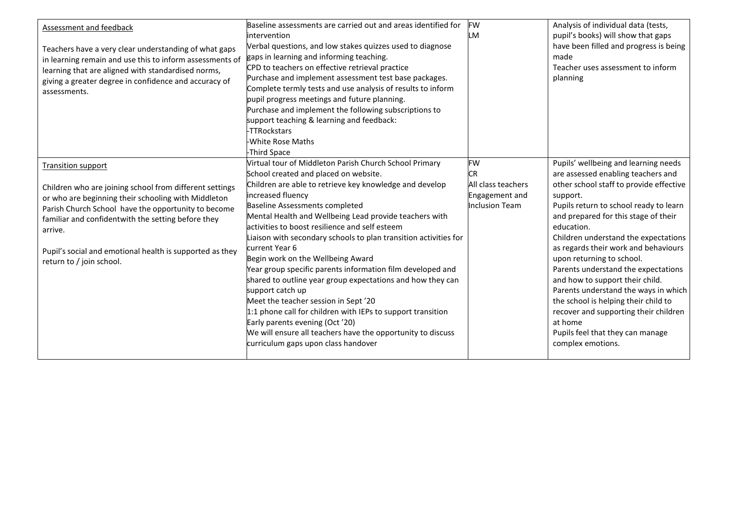| <b>Assessment and feedback</b><br>Teachers have a very clear understanding of what gaps<br>in learning remain and use this to inform assessments of<br>learning that are aligned with standardised norms,<br>giving a greater degree in confidence and accuracy of<br>assessments.                                             | Baseline assessments are carried out and areas identified for<br>intervention<br>Verbal questions, and low stakes quizzes used to diagnose<br>gaps in learning and informing teaching.<br>CPD to teachers on effective retrieval practice<br>Purchase and implement assessment test base packages.<br>Complete termly tests and use analysis of results to inform<br>pupil progress meetings and future planning.<br>Purchase and implement the following subscriptions to<br>support teaching & learning and feedback:<br>-TTRockstars                                                                                                                                                                                                              | <b>FW</b><br>LM                                        | Analysis of individual data (tests,<br>pupil's books) will show that gaps<br>have been filled and progress is being<br>made<br>Teacher uses assessment to inform<br>planning                                                                                                                                                                                                                                                                                                                                                            |
|--------------------------------------------------------------------------------------------------------------------------------------------------------------------------------------------------------------------------------------------------------------------------------------------------------------------------------|------------------------------------------------------------------------------------------------------------------------------------------------------------------------------------------------------------------------------------------------------------------------------------------------------------------------------------------------------------------------------------------------------------------------------------------------------------------------------------------------------------------------------------------------------------------------------------------------------------------------------------------------------------------------------------------------------------------------------------------------------|--------------------------------------------------------|-----------------------------------------------------------------------------------------------------------------------------------------------------------------------------------------------------------------------------------------------------------------------------------------------------------------------------------------------------------------------------------------------------------------------------------------------------------------------------------------------------------------------------------------|
|                                                                                                                                                                                                                                                                                                                                | -White Rose Maths<br>-Third Space                                                                                                                                                                                                                                                                                                                                                                                                                                                                                                                                                                                                                                                                                                                    |                                                        |                                                                                                                                                                                                                                                                                                                                                                                                                                                                                                                                         |
| <b>Transition support</b>                                                                                                                                                                                                                                                                                                      | Virtual tour of Middleton Parish Church School Primary<br>School created and placed on website.                                                                                                                                                                                                                                                                                                                                                                                                                                                                                                                                                                                                                                                      | FW<br>CR                                               | Pupils' wellbeing and learning needs<br>are assessed enabling teachers and                                                                                                                                                                                                                                                                                                                                                                                                                                                              |
| Children who are joining school from different settings<br>or who are beginning their schooling with Middleton<br>Parish Church School have the opportunity to become<br>familiar and confidentwith the setting before they<br>arrive.<br>Pupil's social and emotional health is supported as they<br>return to / join school. | Children are able to retrieve key knowledge and develop<br>increased fluency<br>Baseline Assessments completed<br>Mental Health and Wellbeing Lead provide teachers with<br>activities to boost resilience and self esteem<br>Liaison with secondary schools to plan transition activities for<br>current Year 6<br>Begin work on the Wellbeing Award<br>Year group specific parents information film developed and<br>shared to outline year group expectations and how they can<br>support catch up<br>Meet the teacher session in Sept'20<br>1:1 phone call for children with IEPs to support transition<br>Early parents evening (Oct '20)<br>We will ensure all teachers have the opportunity to discuss<br>curriculum gaps upon class handover | All class teachers<br>Engagement and<br>Inclusion Team | other school staff to provide effective<br>support.<br>Pupils return to school ready to learn<br>and prepared for this stage of their<br>education.<br>Children understand the expectations<br>as regards their work and behaviours<br>upon returning to school.<br>Parents understand the expectations<br>and how to support their child.<br>Parents understand the ways in which<br>the school is helping their child to<br>recover and supporting their children<br>at home<br>Pupils feel that they can manage<br>complex emotions. |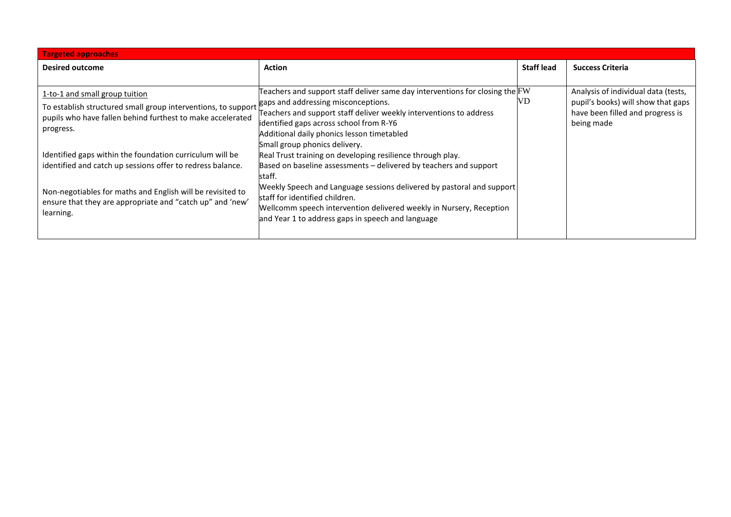| <b>Targeted approaches</b>                                    |                                                                                                               |                   |                                                |  |
|---------------------------------------------------------------|---------------------------------------------------------------------------------------------------------------|-------------------|------------------------------------------------|--|
| <b>Desired outcome</b>                                        | <b>Action</b>                                                                                                 | <b>Staff lead</b> | <b>Success Criteria</b>                        |  |
|                                                               |                                                                                                               |                   |                                                |  |
| 1-to-1 and small group tuition                                | Teachers and support staff deliver same day interventions for closing the FW                                  |                   | Analysis of individual data (tests,            |  |
| To establish structured small group interventions, to support | gaps and addressing misconceptions.                                                                           | VD                | pupil's books) will show that gaps             |  |
| pupils who have fallen behind furthest to make accelerated    | Teachers and support staff deliver weekly interventions to address<br>identified gaps across school from R-Y6 |                   | have been filled and progress is<br>being made |  |
| progress.                                                     | Additional daily phonics lesson timetabled                                                                    |                   |                                                |  |
|                                                               | Small group phonics delivery.                                                                                 |                   |                                                |  |
| Identified gaps within the foundation curriculum will be      | Real Trust training on developing resilience through play.                                                    |                   |                                                |  |
| identified and catch up sessions offer to redress balance.    | Based on baseline assessments – delivered by teachers and support                                             |                   |                                                |  |
|                                                               | staff.<br>Weekly Speech and Language sessions delivered by pastoral and support                               |                   |                                                |  |
| Non-negotiables for maths and English will be revisited to    | staff for identified children.                                                                                |                   |                                                |  |
| ensure that they are appropriate and "catch up" and 'new'     | Wellcomm speech intervention delivered weekly in Nursery, Reception                                           |                   |                                                |  |
| learning.                                                     | and Year 1 to address gaps in speech and language                                                             |                   |                                                |  |
|                                                               |                                                                                                               |                   |                                                |  |